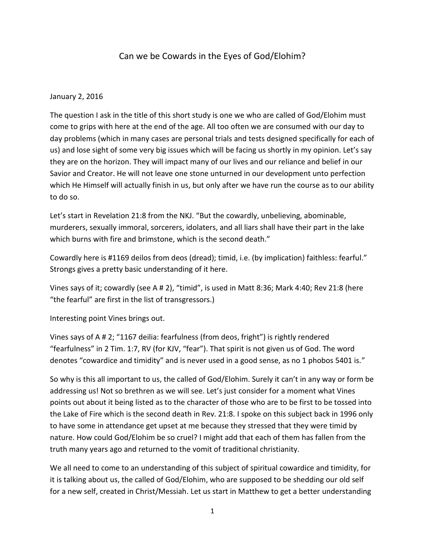## Can we be Cowards in the Eyes of God/Elohim?

## January 2, 2016

The question I ask in the title of this short study is one we who are called of God/Elohim must come to grips with here at the end of the age. All too often we are consumed with our day to day problems (which in many cases are personal trials and tests designed specifically for each of us) and lose sight of some very big issues which will be facing us shortly in my opinion. Let's say they are on the horizon. They will impact many of our lives and our reliance and belief in our Savior and Creator. He will not leave one stone unturned in our development unto perfection which He Himself will actually finish in us, but only after we have run the course as to our ability to do so.

Let's start in Revelation 21:8 from the NKJ. "But the cowardly, unbelieving, abominable, murderers, sexually immoral, sorcerers, idolaters, and all liars shall have their part in the lake which burns with fire and brimstone, which is the second death."

Cowardly here is #1169 deilos from deos (dread); timid, i.e. (by implication) faithless: fearful." Strongs gives a pretty basic understanding of it here.

Vines says of it; cowardly (see A # 2), "timid", is used in Matt 8:36; Mark 4:40; Rev 21:8 (here "the fearful" are first in the list of transgressors.)

Interesting point Vines brings out.

Vines says of A # 2; "1167 deilia: fearfulness (from deos, fright") is rightly rendered "fearfulness" in 2 Tim. 1:7, RV (for KJV, "fear"). That spirit is not given us of God. The word denotes "cowardice and timidity" and is never used in a good sense, as no 1 phobos 5401 is."

So why is this all important to us, the called of God/Elohim. Surely it can't in any way or form be addressing us! Not so brethren as we will see. Let's just consider for a moment what Vines points out about it being listed as to the character of those who are to be first to be tossed into the Lake of Fire which is the second death in Rev. 21:8. I spoke on this subject back in 1996 only to have some in attendance get upset at me because they stressed that they were timid by nature. How could God/Elohim be so cruel? I might add that each of them has fallen from the truth many years ago and returned to the vomit of traditional christianity.

We all need to come to an understanding of this subject of spiritual cowardice and timidity, for it is talking about us, the called of God/Elohim, who are supposed to be shedding our old self for a new self, created in Christ/Messiah. Let us start in Matthew to get a better understanding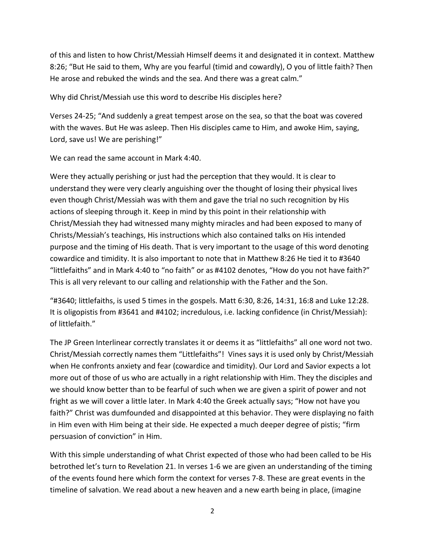of this and listen to how Christ/Messiah Himself deems it and designated it in context. Matthew 8:26; "But He said to them, Why are you fearful (timid and cowardly), O you of little faith? Then He arose and rebuked the winds and the sea. And there was a great calm."

Why did Christ/Messiah use this word to describe His disciples here?

Verses 24-25; "And suddenly a great tempest arose on the sea, so that the boat was covered with the waves. But He was asleep. Then His disciples came to Him, and awoke Him, saying, Lord, save us! We are perishing!"

We can read the same account in Mark 4:40.

Were they actually perishing or just had the perception that they would. It is clear to understand they were very clearly anguishing over the thought of losing their physical lives even though Christ/Messiah was with them and gave the trial no such recognition by His actions of sleeping through it. Keep in mind by this point in their relationship with Christ/Messiah they had witnessed many mighty miracles and had been exposed to many of Christs/Messiah's teachings, His instructions which also contained talks on His intended purpose and the timing of His death. That is very important to the usage of this word denoting cowardice and timidity. It is also important to note that in Matthew 8:26 He tied it to #3640 "littlefaiths" and in Mark 4:40 to "no faith" or as #4102 denotes, "How do you not have faith?" This is all very relevant to our calling and relationship with the Father and the Son.

"#3640; littlefaiths, is used 5 times in the gospels. Matt 6:30, 8:26, 14:31, 16:8 and Luke 12:28. It is oligopistis from #3641 and #4102; incredulous, i.e. lacking confidence (in Christ/Messiah): of littlefaith."

The JP Green Interlinear correctly translates it or deems it as "littlefaiths" all one word not two. Christ/Messiah correctly names them "Littlefaiths"! Vines says it is used only by Christ/Messiah when He confronts anxiety and fear (cowardice and timidity). Our Lord and Savior expects a lot more out of those of us who are actually in a right relationship with Him. They the disciples and we should know better than to be fearful of such when we are given a spirit of power and not fright as we will cover a little later. In Mark 4:40 the Greek actually says; "How not have you faith?" Christ was dumfounded and disappointed at this behavior. They were displaying no faith in Him even with Him being at their side. He expected a much deeper degree of pistis; "firm persuasion of conviction" in Him.

With this simple understanding of what Christ expected of those who had been called to be His betrothed let's turn to Revelation 21. In verses 1-6 we are given an understanding of the timing of the events found here which form the context for verses 7-8. These are great events in the timeline of salvation. We read about a new heaven and a new earth being in place, (imagine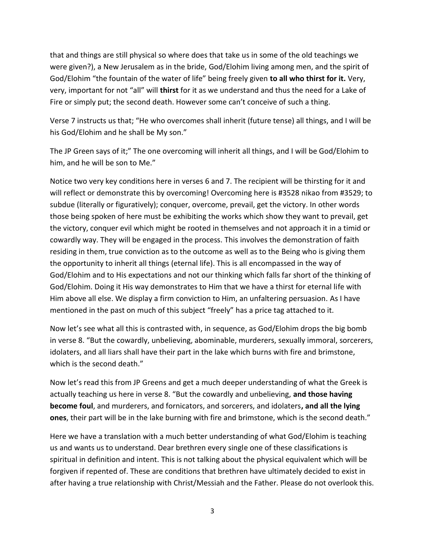that and things are still physical so where does that take us in some of the old teachings we were given?), a New Jerusalem as in the bride, God/Elohim living among men, and the spirit of God/Elohim "the fountain of the water of life" being freely given **to all who thirst for it.** Very, very, important for not "all" will **thirst** for it as we understand and thus the need for a Lake of Fire or simply put; the second death. However some can't conceive of such a thing.

Verse 7 instructs us that; "He who overcomes shall inherit (future tense) all things, and I will be his God/Elohim and he shall be My son."

The JP Green says of it;" The one overcoming will inherit all things, and I will be God/Elohim to him, and he will be son to Me."

Notice two very key conditions here in verses 6 and 7. The recipient will be thirsting for it and will reflect or demonstrate this by overcoming! Overcoming here is #3528 nikao from #3529; to subdue (literally or figuratively); conquer, overcome, prevail, get the victory. In other words those being spoken of here must be exhibiting the works which show they want to prevail, get the victory, conquer evil which might be rooted in themselves and not approach it in a timid or cowardly way. They will be engaged in the process. This involves the demonstration of faith residing in them, true conviction as to the outcome as well as to the Being who is giving them the opportunity to inherit all things (eternal life). This is all encompassed in the way of God/Elohim and to His expectations and not our thinking which falls far short of the thinking of God/Elohim. Doing it His way demonstrates to Him that we have a thirst for eternal life with Him above all else. We display a firm conviction to Him, an unfaltering persuasion. As I have mentioned in the past on much of this subject "freely" has a price tag attached to it.

Now let's see what all this is contrasted with, in sequence, as God/Elohim drops the big bomb in verse 8. "But the cowardly, unbelieving, abominable, murderers, sexually immoral, sorcerers, idolaters, and all liars shall have their part in the lake which burns with fire and brimstone, which is the second death."

Now let's read this from JP Greens and get a much deeper understanding of what the Greek is actually teaching us here in verse 8. "But the cowardly and unbelieving, **and those having become foul**, and murderers, and fornicators, and sorcerers, and idolaters**, and all the lying ones**, their part will be in the lake burning with fire and brimstone, which is the second death."

Here we have a translation with a much better understanding of what God/Elohim is teaching us and wants us to understand. Dear brethren every single one of these classifications is spiritual in definition and intent. This is not talking about the physical equivalent which will be forgiven if repented of. These are conditions that brethren have ultimately decided to exist in after having a true relationship with Christ/Messiah and the Father. Please do not overlook this.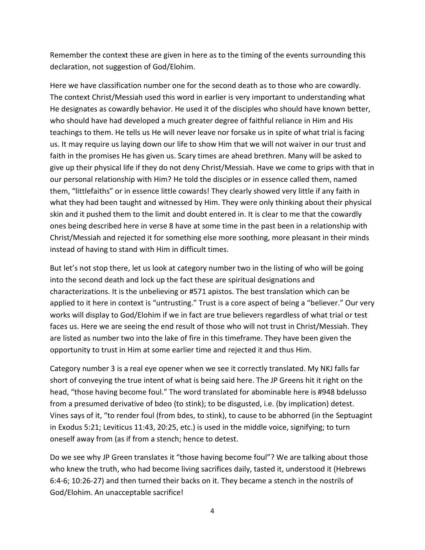Remember the context these are given in here as to the timing of the events surrounding this declaration, not suggestion of God/Elohim.

Here we have classification number one for the second death as to those who are cowardly. The context Christ/Messiah used this word in earlier is very important to understanding what He designates as cowardly behavior. He used it of the disciples who should have known better, who should have had developed a much greater degree of faithful reliance in Him and His teachings to them. He tells us He will never leave nor forsake us in spite of what trial is facing us. It may require us laying down our life to show Him that we will not waiver in our trust and faith in the promises He has given us. Scary times are ahead brethren. Many will be asked to give up their physical life if they do not deny Christ/Messiah. Have we come to grips with that in our personal relationship with Him? He told the disciples or in essence called them, named them, "littlefaiths" or in essence little cowards! They clearly showed very little if any faith in what they had been taught and witnessed by Him. They were only thinking about their physical skin and it pushed them to the limit and doubt entered in. It is clear to me that the cowardly ones being described here in verse 8 have at some time in the past been in a relationship with Christ/Messiah and rejected it for something else more soothing, more pleasant in their minds instead of having to stand with Him in difficult times.

But let's not stop there, let us look at category number two in the listing of who will be going into the second death and lock up the fact these are spiritual designations and characterizations. It is the unbelieving or #571 apistos. The best translation which can be applied to it here in context is "untrusting." Trust is a core aspect of being a "believer." Our very works will display to God/Elohim if we in fact are true believers regardless of what trial or test faces us. Here we are seeing the end result of those who will not trust in Christ/Messiah. They are listed as number two into the lake of fire in this timeframe. They have been given the opportunity to trust in Him at some earlier time and rejected it and thus Him.

Category number 3 is a real eye opener when we see it correctly translated. My NKJ falls far short of conveying the true intent of what is being said here. The JP Greens hit it right on the head, "those having become foul." The word translated for abominable here is #948 bdelusso from a presumed derivative of bdeo (to stink); to be disgusted, i.e. (by implication) detest. Vines says of it, "to render foul (from bdes, to stink), to cause to be abhorred (in the Septuagint in Exodus 5:21; Leviticus 11:43, 20:25, etc.) is used in the middle voice, signifying; to turn oneself away from (as if from a stench; hence to detest.

Do we see why JP Green translates it "those having become foul"? We are talking about those who knew the truth, who had become living sacrifices daily, tasted it, understood it (Hebrews 6:4-6; 10:26-27) and then turned their backs on it. They became a stench in the nostrils of God/Elohim. An unacceptable sacrifice!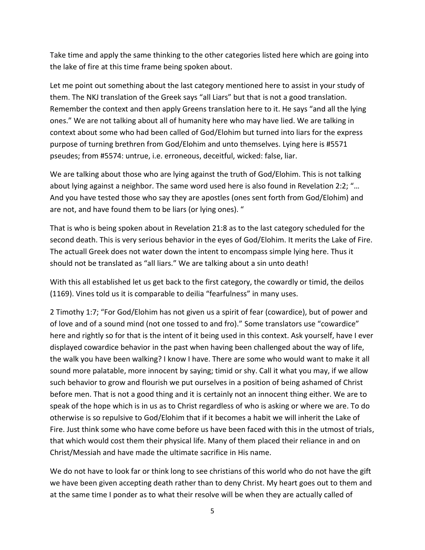Take time and apply the same thinking to the other categories listed here which are going into the lake of fire at this time frame being spoken about.

Let me point out something about the last category mentioned here to assist in your study of them. The NKJ translation of the Greek says "all Liars" but that is not a good translation. Remember the context and then apply Greens translation here to it. He says "and all the lying ones." We are not talking about all of humanity here who may have lied. We are talking in context about some who had been called of God/Elohim but turned into liars for the express purpose of turning brethren from God/Elohim and unto themselves. Lying here is #5571 pseudes; from #5574: untrue, i.e. erroneous, deceitful, wicked: false, liar.

We are talking about those who are lying against the truth of God/Elohim. This is not talking about lying against a neighbor. The same word used here is also found in Revelation 2:2; "… And you have tested those who say they are apostles (ones sent forth from God/Elohim) and are not, and have found them to be liars (or lying ones). "

That is who is being spoken about in Revelation 21:8 as to the last category scheduled for the second death. This is very serious behavior in the eyes of God/Elohim. It merits the Lake of Fire. The actuall Greek does not water down the intent to encompass simple lying here. Thus it should not be translated as "all liars." We are talking about a sin unto death!

With this all established let us get back to the first category, the cowardly or timid, the deilos (1169). Vines told us it is comparable to deilia "fearfulness" in many uses.

2 Timothy 1:7; "For God/Elohim has not given us a spirit of fear (cowardice), but of power and of love and of a sound mind (not one tossed to and fro)." Some translators use "cowardice" here and rightly so for that is the intent of it being used in this context. Ask yourself, have I ever displayed cowardice behavior in the past when having been challenged about the way of life, the walk you have been walking? I know I have. There are some who would want to make it all sound more palatable, more innocent by saying; timid or shy. Call it what you may, if we allow such behavior to grow and flourish we put ourselves in a position of being ashamed of Christ before men. That is not a good thing and it is certainly not an innocent thing either. We are to speak of the hope which is in us as to Christ regardless of who is asking or where we are. To do otherwise is so repulsive to God/Elohim that if it becomes a habit we will inherit the Lake of Fire. Just think some who have come before us have been faced with this in the utmost of trials, that which would cost them their physical life. Many of them placed their reliance in and on Christ/Messiah and have made the ultimate sacrifice in His name.

We do not have to look far or think long to see christians of this world who do not have the gift we have been given accepting death rather than to deny Christ. My heart goes out to them and at the same time I ponder as to what their resolve will be when they are actually called of